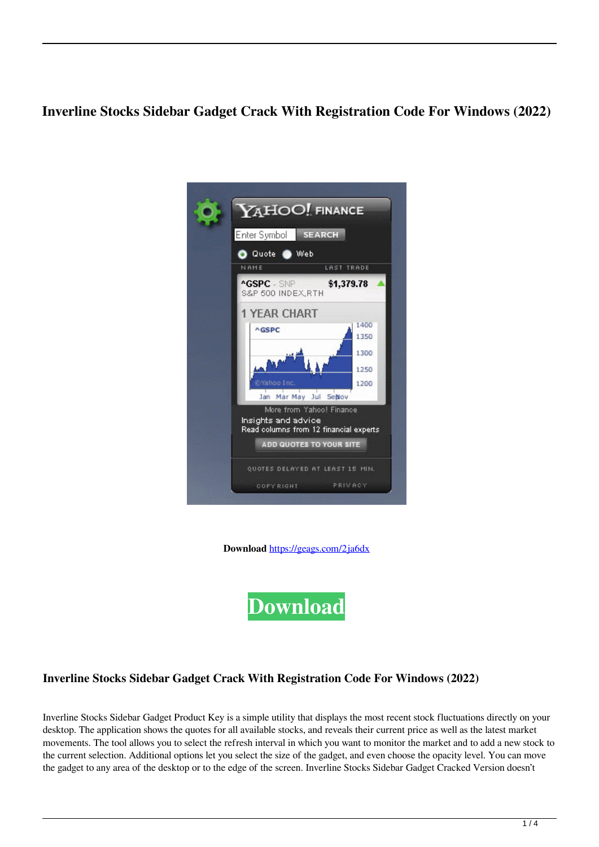# **Inverline Stocks Sidebar Gadget Crack With Registration Code For Windows (2022)**

|             | Enter Symbol                            | <b>SEARCH</b>                          |
|-------------|-----------------------------------------|----------------------------------------|
| Quote @ Web |                                         |                                        |
|             | NAME                                    | LAST TRADE                             |
|             | <b>^GSPC</b> - SNP<br>S&P 500 INDEX,RTH | \$1,379.78                             |
|             | 1 YEAR CHART                            |                                        |
|             | AGSPC                                   | 1400<br>1350                           |
|             |                                         | 1300                                   |
|             |                                         | 1250                                   |
|             | eYahoo Inc.                             | 1200                                   |
|             |                                         | Jan Mar May Jul Sehlov                 |
|             |                                         | More from Yahoo! Finance               |
|             | Insights and advice                     | Read columns from 12 financial experts |
|             |                                         | <b>ADD QUOTES TO YOUR SITE</b>         |
|             |                                         | QUOTES DELAYED AT LEAST 15 MIN.        |
|             |                                         |                                        |

**Download** <https://geags.com/2ja6dx>



## **Inverline Stocks Sidebar Gadget Crack With Registration Code For Windows (2022)**

Inverline Stocks Sidebar Gadget Product Key is a simple utility that displays the most recent stock fluctuations directly on your desktop. The application shows the quotes for all available stocks, and reveals their current price as well as the latest market movements. The tool allows you to select the refresh interval in which you want to monitor the market and to add a new stock to the current selection. Additional options let you select the size of the gadget, and even choose the opacity level. You can move the gadget to any area of the desktop or to the edge of the screen. Inverline Stocks Sidebar Gadget Cracked Version doesn't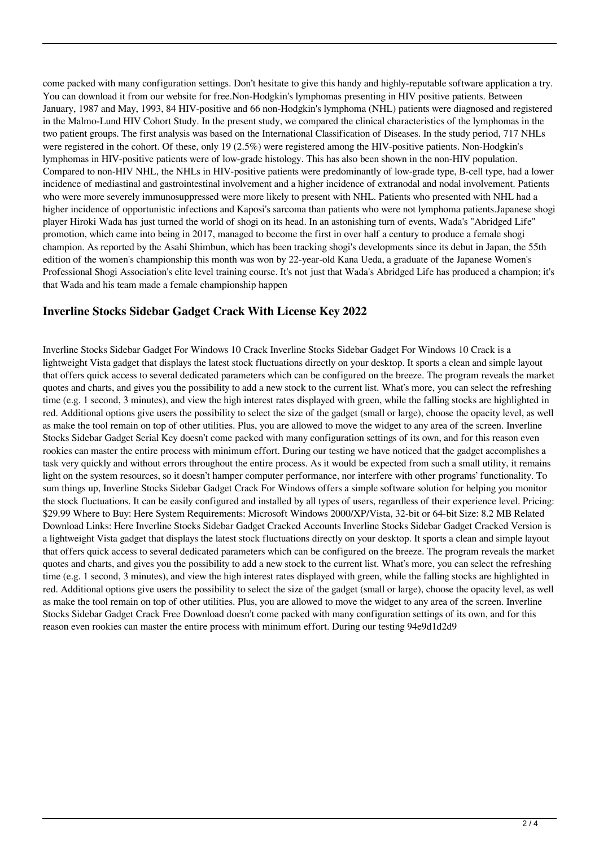come packed with many configuration settings. Don't hesitate to give this handy and highly-reputable software application a try. You can download it from our website for free.Non-Hodgkin's lymphomas presenting in HIV positive patients. Between January, 1987 and May, 1993, 84 HIV-positive and 66 non-Hodgkin's lymphoma (NHL) patients were diagnosed and registered in the Malmo-Lund HIV Cohort Study. In the present study, we compared the clinical characteristics of the lymphomas in the two patient groups. The first analysis was based on the International Classification of Diseases. In the study period, 717 NHLs were registered in the cohort. Of these, only 19 (2.5%) were registered among the HIV-positive patients. Non-Hodgkin's lymphomas in HIV-positive patients were of low-grade histology. This has also been shown in the non-HIV population. Compared to non-HIV NHL, the NHLs in HIV-positive patients were predominantly of low-grade type, B-cell type, had a lower incidence of mediastinal and gastrointestinal involvement and a higher incidence of extranodal and nodal involvement. Patients who were more severely immunosuppressed were more likely to present with NHL. Patients who presented with NHL had a higher incidence of opportunistic infections and Kaposi's sarcoma than patients who were not lymphoma patients.Japanese shogi player Hiroki Wada has just turned the world of shogi on its head. In an astonishing turn of events, Wada's "Abridged Life" promotion, which came into being in 2017, managed to become the first in over half a century to produce a female shogi champion. As reported by the Asahi Shimbun, which has been tracking shogi's developments since its debut in Japan, the 55th edition of the women's championship this month was won by 22-year-old Kana Ueda, a graduate of the Japanese Women's Professional Shogi Association's elite level training course. It's not just that Wada's Abridged Life has produced a champion; it's that Wada and his team made a female championship happen

## **Inverline Stocks Sidebar Gadget Crack With License Key 2022**

Inverline Stocks Sidebar Gadget For Windows 10 Crack Inverline Stocks Sidebar Gadget For Windows 10 Crack is a lightweight Vista gadget that displays the latest stock fluctuations directly on your desktop. It sports a clean and simple layout that offers quick access to several dedicated parameters which can be configured on the breeze. The program reveals the market quotes and charts, and gives you the possibility to add a new stock to the current list. What's more, you can select the refreshing time (e.g. 1 second, 3 minutes), and view the high interest rates displayed with green, while the falling stocks are highlighted in red. Additional options give users the possibility to select the size of the gadget (small or large), choose the opacity level, as well as make the tool remain on top of other utilities. Plus, you are allowed to move the widget to any area of the screen. Inverline Stocks Sidebar Gadget Serial Key doesn't come packed with many configuration settings of its own, and for this reason even rookies can master the entire process with minimum effort. During our testing we have noticed that the gadget accomplishes a task very quickly and without errors throughout the entire process. As it would be expected from such a small utility, it remains light on the system resources, so it doesn't hamper computer performance, nor interfere with other programs' functionality. To sum things up, Inverline Stocks Sidebar Gadget Crack For Windows offers a simple software solution for helping you monitor the stock fluctuations. It can be easily configured and installed by all types of users, regardless of their experience level. Pricing: \$29.99 Where to Buy: Here System Requirements: Microsoft Windows 2000/XP/Vista, 32-bit or 64-bit Size: 8.2 MB Related Download Links: Here Inverline Stocks Sidebar Gadget Cracked Accounts Inverline Stocks Sidebar Gadget Cracked Version is a lightweight Vista gadget that displays the latest stock fluctuations directly on your desktop. It sports a clean and simple layout that offers quick access to several dedicated parameters which can be configured on the breeze. The program reveals the market quotes and charts, and gives you the possibility to add a new stock to the current list. What's more, you can select the refreshing time (e.g. 1 second, 3 minutes), and view the high interest rates displayed with green, while the falling stocks are highlighted in red. Additional options give users the possibility to select the size of the gadget (small or large), choose the opacity level, as well as make the tool remain on top of other utilities. Plus, you are allowed to move the widget to any area of the screen. Inverline Stocks Sidebar Gadget Crack Free Download doesn't come packed with many configuration settings of its own, and for this reason even rookies can master the entire process with minimum effort. During our testing 94e9d1d2d9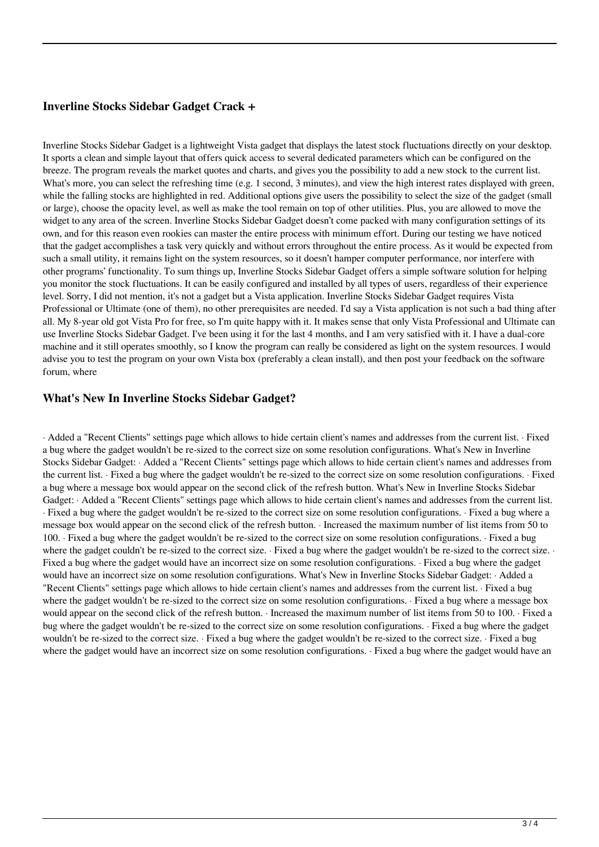# **Inverline Stocks Sidebar Gadget Crack +**

Inverline Stocks Sidebar Gadget is a lightweight Vista gadget that displays the latest stock fluctuations directly on your desktop. It sports a clean and simple layout that offers quick access to several dedicated parameters which can be configured on the breeze. The program reveals the market quotes and charts, and gives you the possibility to add a new stock to the current list. What's more, you can select the refreshing time (e.g. 1 second, 3 minutes), and view the high interest rates displayed with green, while the falling stocks are highlighted in red. Additional options give users the possibility to select the size of the gadget (small or large), choose the opacity level, as well as make the tool remain on top of other utilities. Plus, you are allowed to move the widget to any area of the screen. Inverline Stocks Sidebar Gadget doesn't come packed with many configuration settings of its own, and for this reason even rookies can master the entire process with minimum effort. During our testing we have noticed that the gadget accomplishes a task very quickly and without errors throughout the entire process. As it would be expected from such a small utility, it remains light on the system resources, so it doesn't hamper computer performance, nor interfere with other programs' functionality. To sum things up, Inverline Stocks Sidebar Gadget offers a simple software solution for helping you monitor the stock fluctuations. It can be easily configured and installed by all types of users, regardless of their experience level. Sorry, I did not mention, it's not a gadget but a Vista application. Inverline Stocks Sidebar Gadget requires Vista Professional or Ultimate (one of them), no other prerequisites are needed. I'd say a Vista application is not such a bad thing after all. My 8-year old got Vista Pro for free, so I'm quite happy with it. It makes sense that only Vista Professional and Ultimate can use Inverline Stocks Sidebar Gadget. I've been using it for the last 4 months, and I am very satisfied with it. I have a dual-core machine and it still operates smoothly, so I know the program can really be considered as light on the system resources. I would advise you to test the program on your own Vista box (preferably a clean install), and then post your feedback on the software forum, where

## **What's New In Inverline Stocks Sidebar Gadget?**

· Added a "Recent Clients" settings page which allows to hide certain client's names and addresses from the current list. · Fixed a bug where the gadget wouldn't be re-sized to the correct size on some resolution configurations. What's New in Inverline Stocks Sidebar Gadget: · Added a "Recent Clients" settings page which allows to hide certain client's names and addresses from the current list. · Fixed a bug where the gadget wouldn't be re-sized to the correct size on some resolution configurations. · Fixed a bug where a message box would appear on the second click of the refresh button. What's New in Inverline Stocks Sidebar Gadget: · Added a "Recent Clients" settings page which allows to hide certain client's names and addresses from the current list. · Fixed a bug where the gadget wouldn't be re-sized to the correct size on some resolution configurations. · Fixed a bug where a message box would appear on the second click of the refresh button. · Increased the maximum number of list items from 50 to 100. · Fixed a bug where the gadget wouldn't be re-sized to the correct size on some resolution configurations. · Fixed a bug where the gadget couldn't be re-sized to the correct size. · Fixed a bug where the gadget wouldn't be re-sized to the correct size. · Fixed a bug where the gadget would have an incorrect size on some resolution configurations. · Fixed a bug where the gadget would have an incorrect size on some resolution configurations. What's New in Inverline Stocks Sidebar Gadget: · Added a "Recent Clients" settings page which allows to hide certain client's names and addresses from the current list. · Fixed a bug where the gadget wouldn't be re-sized to the correct size on some resolution configurations. · Fixed a bug where a message box would appear on the second click of the refresh button. · Increased the maximum number of list items from 50 to 100. · Fixed a bug where the gadget wouldn't be re-sized to the correct size on some resolution configurations. · Fixed a bug where the gadget wouldn't be re-sized to the correct size. · Fixed a bug where the gadget wouldn't be re-sized to the correct size. · Fixed a bug where the gadget would have an incorrect size on some resolution configurations. · Fixed a bug where the gadget would have an